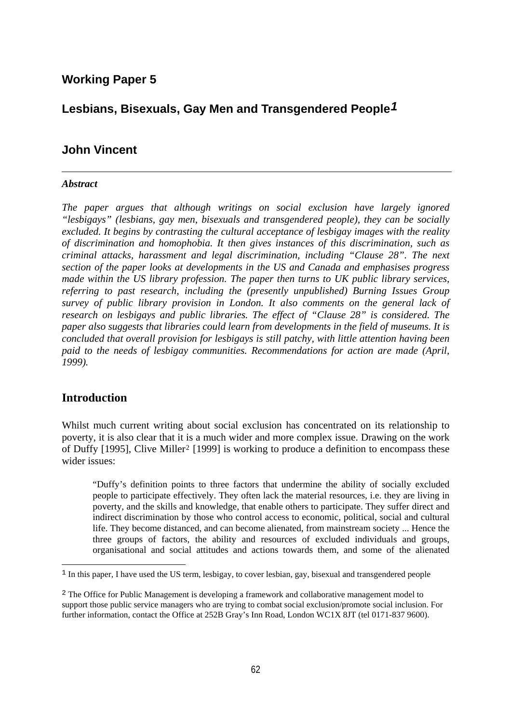# **Working Paper 5**

# **Lesbians, Bisexuals, Gay Men and Transgendered People***[1](#page-0-0)*

# **John Vincent**

#### *Abstract*

*The paper argues that although writings on social exclusion have largely ignored "lesbigays" (lesbians, gay men, bisexuals and transgendered people), they can be socially excluded. It begins by contrasting the cultural acceptance of lesbigay images with the reality of discrimination and homophobia. It then gives instances of this discrimination, such as criminal attacks, harassment and legal discrimination, including "Clause 28". The next section of the paper looks at developments in the US and Canada and emphasises progress made within the US library profession. The paper then turns to UK public library services, referring to past research, including the (presently unpublished) Burning Issues Group survey of public library provision in London. It also comments on the general lack of research on lesbigays and public libraries. The effect of "Clause 28" is considered. The paper also suggests that libraries could learn from developments in the field of museums. It is concluded that overall provision for lesbigays is still patchy, with little attention having been paid to the needs of lesbigay communities. Recommendations for action are made (April, 1999).* 

### **Introduction**

i<br>L

Whilst much current writing about social exclusion has concentrated on its relationship to poverty, it is also clear that it is a much wider and more complex issue. Drawing on the work of Duffy [1995], Clive Miller[2](#page-0-1) [1999] is working to produce a definition to encompass these wider issues:

"Duffy's definition points to three factors that undermine the ability of socially excluded people to participate effectively. They often lack the material resources, i.e. they are living in poverty, and the skills and knowledge, that enable others to participate. They suffer direct and indirect discrimination by those who control access to economic, political, social and cultural life. They become distanced, and can become alienated, from mainstream society ... Hence the three groups of factors, the ability and resources of excluded individuals and groups, organisational and social attitudes and actions towards them, and some of the alienated

<span id="page-0-0"></span><sup>&</sup>lt;sup>1</sup> In this paper, I have used the US term, lesbigay, to cover lesbian, gay, bisexual and transgendered people

<span id="page-0-1"></span><sup>2</sup> The Office for Public Management is developing a framework and collaborative management model to support those public service managers who are trying to combat social exclusion/promote social inclusion. For further information, contact the Office at 252B Gray's Inn Road, London WC1X 8JT (tel 0171-837 9600).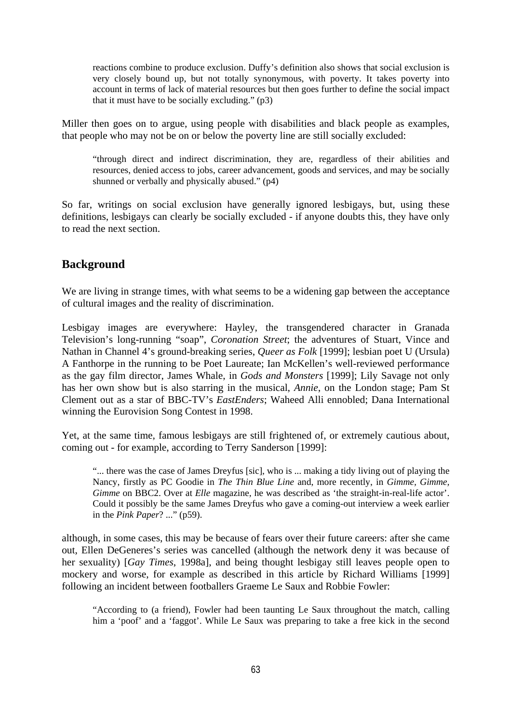reactions combine to produce exclusion. Duffy's definition also shows that social exclusion is very closely bound up, but not totally synonymous, with poverty. It takes poverty into account in terms of lack of material resources but then goes further to define the social impact that it must have to be socially excluding." (p3)

Miller then goes on to argue, using people with disabilities and black people as examples, that people who may not be on or below the poverty line are still socially excluded:

"through direct and indirect discrimination, they are, regardless of their abilities and resources, denied access to jobs, career advancement, goods and services, and may be socially shunned or verbally and physically abused." (p4)

So far, writings on social exclusion have generally ignored lesbigays, but, using these definitions, lesbigays can clearly be socially excluded - if anyone doubts this, they have only to read the next section.

## **Background**

We are living in strange times, with what seems to be a widening gap between the acceptance of cultural images and the reality of discrimination.

Lesbigay images are everywhere: Hayley, the transgendered character in Granada Television's long-running "soap", *Coronation Street*; the adventures of Stuart, Vince and Nathan in Channel 4's ground-breaking series, *Queer as Folk* [1999]; lesbian poet U (Ursula) A Fanthorpe in the running to be Poet Laureate; Ian McKellen's well-reviewed performance as the gay film director, James Whale, in *Gods and Monsters* [1999]; Lily Savage not only has her own show but is also starring in the musical, *Annie*, on the London stage; Pam St Clement out as a star of BBC-TV's *EastEnders*; Waheed Alli ennobled; Dana International winning the Eurovision Song Contest in 1998.

Yet, at the same time, famous lesbigays are still frightened of, or extremely cautious about, coming out - for example, according to Terry Sanderson [1999]:

"... there was the case of James Dreyfus [sic], who is ... making a tidy living out of playing the Nancy, firstly as PC Goodie in *The Thin Blue Line* and, more recently, in *Gimme, Gimme, Gimme* on BBC2. Over at *Elle* magazine, he was described as 'the straight-in-real-life actor'. Could it possibly be the same James Dreyfus who gave a coming-out interview a week earlier in the *Pink Paper*? ..." (p59).

although, in some cases, this may be because of fears over their future careers: after she came out, Ellen DeGeneres's series was cancelled (although the network deny it was because of her sexuality) [*Gay Times*, 1998a], and being thought lesbigay still leaves people open to mockery and worse, for example as described in this article by Richard Williams [1999] following an incident between footballers Graeme Le Saux and Robbie Fowler:

"According to (a friend), Fowler had been taunting Le Saux throughout the match, calling him a 'poof' and a 'faggot'. While Le Saux was preparing to take a free kick in the second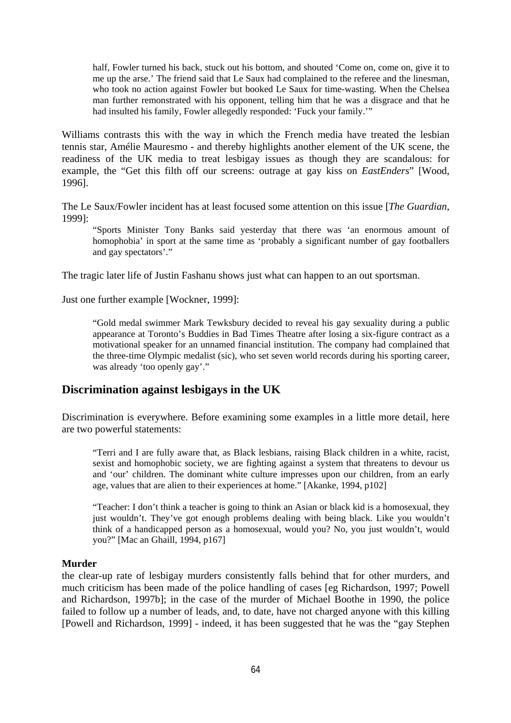half, Fowler turned his back, stuck out his bottom, and shouted 'Come on, come on, give it to me up the arse.' The friend said that Le Saux had complained to the referee and the linesman, who took no action against Fowler but booked Le Saux for time-wasting. When the Chelsea man further remonstrated with his opponent, telling him that he was a disgrace and that he had insulted his family, Fowler allegedly responded: 'Fuck your family.'"

Williams contrasts this with the way in which the French media have treated the lesbian tennis star, Amélie Mauresmo - and thereby highlights another element of the UK scene, the readiness of the UK media to treat lesbigay issues as though they are scandalous: for example, the "Get this filth off our screens: outrage at gay kiss on *EastEnders*" [Wood, 1996].

The Le Saux/Fowler incident has at least focused some attention on this issue [*The Guardian*, 1999]:

"Sports Minister Tony Banks said yesterday that there was 'an enormous amount of homophobia' in sport at the same time as 'probably a significant number of gay footballers and gay spectators'."

The tragic later life of Justin Fashanu shows just what can happen to an out sportsman.

Just one further example [Wockner, 1999]:

"Gold medal swimmer Mark Tewksbury decided to reveal his gay sexuality during a public appearance at Toronto's Buddies in Bad Times Theatre after losing a six-figure contract as a motivational speaker for an unnamed financial institution. The company had complained that the three-time Olympic medalist (sic), who set seven world records during his sporting career, was already 'too openly gay'."

## **Discrimination against lesbigays in the UK**

Discrimination is everywhere. Before examining some examples in a little more detail, here are two powerful statements:

"Terri and I are fully aware that, as Black lesbians, raising Black children in a white, racist, sexist and homophobic society, we are fighting against a system that threatens to devour us and 'our' children. The dominant white culture impresses upon our children, from an early age, values that are alien to their experiences at home." [Akanke, 1994, p102]

"Teacher: I don't think a teacher is going to think an Asian or black kid is a homosexual, they just wouldn't. They've got enough problems dealing with being black. Like you wouldn't think of a handicapped person as a homosexual, would you? No, you just wouldn't, would you?" [Mac an Ghaill, 1994, p167]

#### **Murder**

the clear-up rate of lesbigay murders consistently falls behind that for other murders, and much criticism has been made of the police handling of cases [eg Richardson, 1997; Powell and Richardson, 1997b]; in the case of the murder of Michael Boothe in 1990, the police failed to follow up a number of leads, and, to date, have not charged anyone with this killing [Powell and Richardson, 1999] - indeed, it has been suggested that he was the "gay Stephen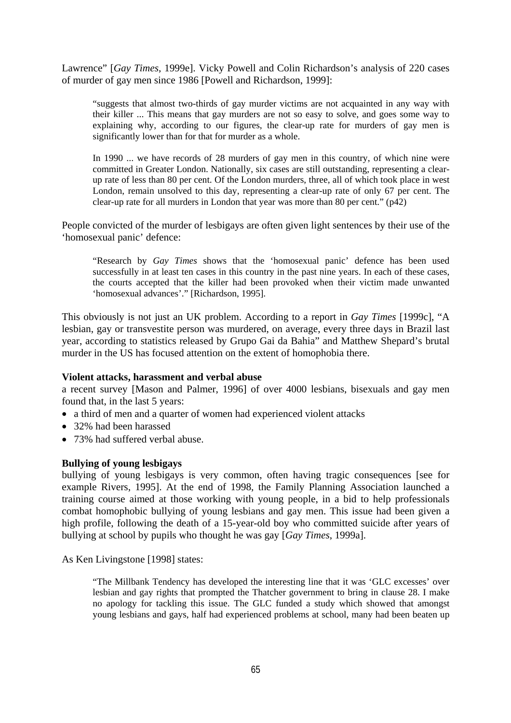Lawrence" [*Gay Times*, 1999e]. Vicky Powell and Colin Richardson's analysis of 220 cases of murder of gay men since 1986 [Powell and Richardson, 1999]:

"suggests that almost two-thirds of gay murder victims are not acquainted in any way with their killer ... This means that gay murders are not so easy to solve, and goes some way to explaining why, according to our figures, the clear-up rate for murders of gay men is significantly lower than for that for murder as a whole.

In 1990 ... we have records of 28 murders of gay men in this country, of which nine were committed in Greater London. Nationally, six cases are still outstanding, representing a clearup rate of less than 80 per cent. Of the London murders, three, all of which took place in west London, remain unsolved to this day, representing a clear-up rate of only 67 per cent. The clear-up rate for all murders in London that year was more than 80 per cent." (p42)

People convicted of the murder of lesbigays are often given light sentences by their use of the 'homosexual panic' defence:

"Research by *Gay Times* shows that the 'homosexual panic' defence has been used successfully in at least ten cases in this country in the past nine years. In each of these cases, the courts accepted that the killer had been provoked when their victim made unwanted 'homosexual advances'." [Richardson, 1995].

This obviously is not just an UK problem. According to a report in *Gay Times* [1999c], "A lesbian, gay or transvestite person was murdered, on average, every three days in Brazil last year, according to statistics released by Grupo Gai da Bahia" and Matthew Shepard's brutal murder in the US has focused attention on the extent of homophobia there.

### **Violent attacks, harassment and verbal abuse**

a recent survey [Mason and Palmer, 1996] of over 4000 lesbians, bisexuals and gay men found that, in the last 5 years:

- a third of men and a quarter of women had experienced violent attacks
- 32% had been harassed
- 73% had suffered verbal abuse.

### **Bullying of young lesbigays**

bullying of young lesbigays is very common, often having tragic consequences [see for example Rivers, 1995]. At the end of 1998, the Family Planning Association launched a training course aimed at those working with young people, in a bid to help professionals combat homophobic bullying of young lesbians and gay men. This issue had been given a high profile, following the death of a 15-year-old boy who committed suicide after years of bullying at school by pupils who thought he was gay [*Gay Times*, 1999a].

As Ken Livingstone [1998] states:

"The Millbank Tendency has developed the interesting line that it was 'GLC excesses' over lesbian and gay rights that prompted the Thatcher government to bring in clause 28. I make no apology for tackling this issue. The GLC funded a study which showed that amongst young lesbians and gays, half had experienced problems at school, many had been beaten up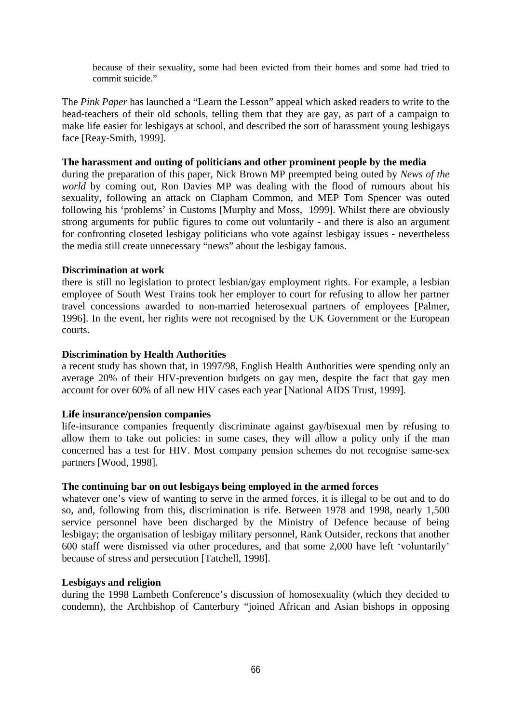because of their sexuality, some had been evicted from their homes and some had tried to commit suicide."

The *Pink Paper* has launched a "Learn the Lesson" appeal which asked readers to write to the head-teachers of their old schools, telling them that they are gay, as part of a campaign to make life easier for lesbigays at school, and described the sort of harassment young lesbigays face [Reay-Smith, 1999].

#### **The harassment and outing of politicians and other prominent people by the media**

during the preparation of this paper, Nick Brown MP preempted being outed by *News of the world* by coming out, Ron Davies MP was dealing with the flood of rumours about his sexuality, following an attack on Clapham Common, and MEP Tom Spencer was outed following his 'problems' in Customs [Murphy and Moss, 1999]. Whilst there are obviously strong arguments for public figures to come out voluntarily - and there is also an argument for confronting closeted lesbigay politicians who vote against lesbigay issues - nevertheless the media still create unnecessary "news" about the lesbigay famous.

### **Discrimination at work**

there is still no legislation to protect lesbian/gay employment rights. For example, a lesbian employee of South West Trains took her employer to court for refusing to allow her partner travel concessions awarded to non-married heterosexual partners of employees [Palmer, 1996]. In the event, her rights were not recognised by the UK Government or the European courts.

#### **Discrimination by Health Authorities**

a recent study has shown that, in 1997/98, English Health Authorities were spending only an average 20% of their HIV-prevention budgets on gay men, despite the fact that gay men account for over 60% of all new HIV cases each year [National AIDS Trust, 1999].

### **Life insurance/pension companies**

life-insurance companies frequently discriminate against gay/bisexual men by refusing to allow them to take out policies: in some cases, they will allow a policy only if the man concerned has a test for HIV. Most company pension schemes do not recognise same-sex partners [Wood, 1998].

#### **The continuing bar on out lesbigays being employed in the armed forces**

whatever one's view of wanting to serve in the armed forces, it is illegal to be out and to do so, and, following from this, discrimination is rife. Between 1978 and 1998, nearly 1,500 service personnel have been discharged by the Ministry of Defence because of being lesbigay; the organisation of lesbigay military personnel, Rank Outsider, reckons that another 600 staff were dismissed via other procedures, and that some 2,000 have left 'voluntarily' because of stress and persecution [Tatchell, 1998].

#### **Lesbigays and religion**

during the 1998 Lambeth Conference's discussion of homosexuality (which they decided to condemn), the Archbishop of Canterbury "joined African and Asian bishops in opposing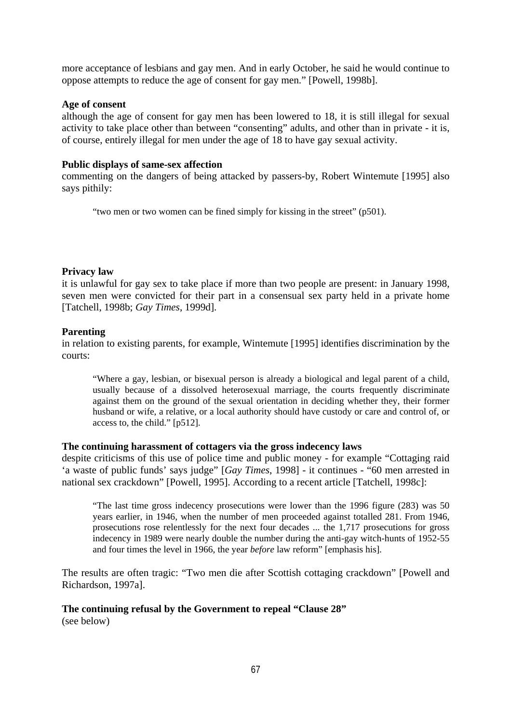more acceptance of lesbians and gay men. And in early October, he said he would continue to oppose attempts to reduce the age of consent for gay men." [Powell, 1998b].

#### **Age of consent**

although the age of consent for gay men has been lowered to 18, it is still illegal for sexual activity to take place other than between "consenting" adults, and other than in private - it is, of course, entirely illegal for men under the age of 18 to have gay sexual activity.

#### **Public displays of same-sex affection**

commenting on the dangers of being attacked by passers-by, Robert Wintemute [1995] also says pithily:

"two men or two women can be fined simply for kissing in the street" (p501).

### **Privacy law**

it is unlawful for gay sex to take place if more than two people are present: in January 1998, seven men were convicted for their part in a consensual sex party held in a private home [Tatchell, 1998b; *Gay Times*, 1999d].

### **Parenting**

in relation to existing parents, for example, Wintemute [1995] identifies discrimination by the courts:

"Where a gay, lesbian, or bisexual person is already a biological and legal parent of a child, usually because of a dissolved heterosexual marriage, the courts frequently discriminate against them on the ground of the sexual orientation in deciding whether they, their former husband or wife, a relative, or a local authority should have custody or care and control of, or access to, the child." [p512].

### **The continuing harassment of cottagers via the gross indecency laws**

despite criticisms of this use of police time and public money - for example "Cottaging raid 'a waste of public funds' says judge" [*Gay Times*, 1998] - it continues - "60 men arrested in national sex crackdown" [Powell, 1995]. According to a recent article [Tatchell, 1998c]:

"The last time gross indecency prosecutions were lower than the 1996 figure (283) was 50 years earlier, in 1946, when the number of men proceeded against totalled 281. From 1946, prosecutions rose relentlessly for the next four decades ... the 1,717 prosecutions for gross indecency in 1989 were nearly double the number during the anti-gay witch-hunts of 1952-55 and four times the level in 1966, the year *before* law reform" [emphasis his].

The results are often tragic: "Two men die after Scottish cottaging crackdown" [Powell and Richardson, 1997a].

### **The continuing refusal by the Government to repeal "Clause 28"**

(see below)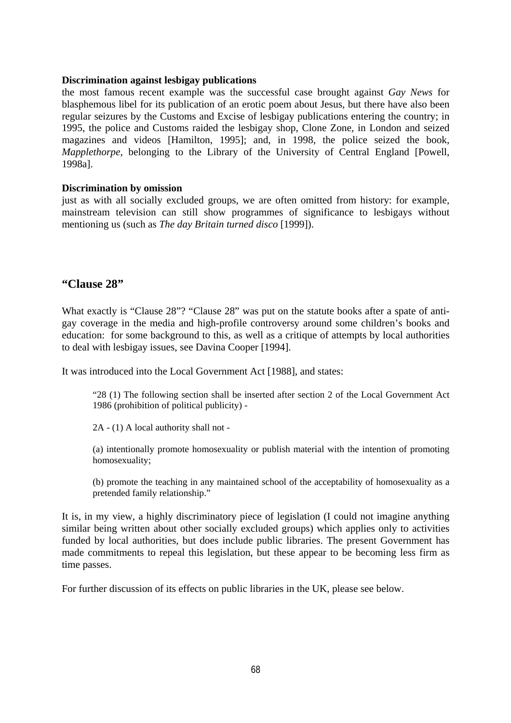#### **Discrimination against lesbigay publications**

the most famous recent example was the successful case brought against *Gay News* for blasphemous libel for its publication of an erotic poem about Jesus, but there have also been regular seizures by the Customs and Excise of lesbigay publications entering the country; in 1995, the police and Customs raided the lesbigay shop, Clone Zone, in London and seized magazines and videos [Hamilton, 1995]; and, in 1998, the police seized the book, *Mapplethorpe*, belonging to the Library of the University of Central England [Powell, 1998a].

### **Discrimination by omission**

just as with all socially excluded groups, we are often omitted from history: for example, mainstream television can still show programmes of significance to lesbigays without mentioning us (such as *The day Britain turned disco* [1999]).

### **"Clause 28"**

What exactly is "Clause 28"? "Clause 28" was put on the statute books after a spate of antigay coverage in the media and high-profile controversy around some children's books and education: for some background to this, as well as a critique of attempts by local authorities to deal with lesbigay issues, see Davina Cooper [1994].

It was introduced into the Local Government Act [1988], and states:

"28 (1) The following section shall be inserted after section 2 of the Local Government Act 1986 (prohibition of political publicity) -

2A - (1) A local authority shall not -

(a) intentionally promote homosexuality or publish material with the intention of promoting homosexuality;

(b) promote the teaching in any maintained school of the acceptability of homosexuality as a pretended family relationship."

It is, in my view, a highly discriminatory piece of legislation (I could not imagine anything similar being written about other socially excluded groups) which applies only to activities funded by local authorities, but does include public libraries. The present Government has made commitments to repeal this legislation, but these appear to be becoming less firm as time passes.

For further discussion of its effects on public libraries in the UK, please see below.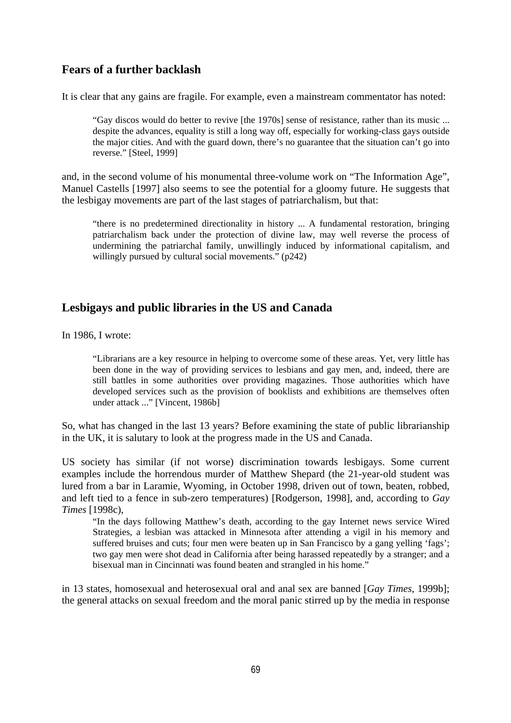# **Fears of a further backlash**

It is clear that any gains are fragile. For example, even a mainstream commentator has noted:

"Gay discos would do better to revive [the 1970s] sense of resistance, rather than its music ... despite the advances, equality is still a long way off, especially for working-class gays outside the major cities. And with the guard down, there's no guarantee that the situation can't go into reverse." [Steel, 1999]

and, in the second volume of his monumental three-volume work on "The Information Age", Manuel Castells [1997] also seems to see the potential for a gloomy future. He suggests that the lesbigay movements are part of the last stages of patriarchalism, but that:

"there is no predetermined directionality in history ... A fundamental restoration, bringing patriarchalism back under the protection of divine law, may well reverse the process of undermining the patriarchal family, unwillingly induced by informational capitalism, and willingly pursued by cultural social movements." (p242)

# **Lesbigays and public libraries in the US and Canada**

In 1986, I wrote:

"Librarians are a key resource in helping to overcome some of these areas. Yet, very little has been done in the way of providing services to lesbians and gay men, and, indeed, there are still battles in some authorities over providing magazines. Those authorities which have developed services such as the provision of booklists and exhibitions are themselves often under attack ..." [Vincent, 1986b]

So, what has changed in the last 13 years? Before examining the state of public librarianship in the UK, it is salutary to look at the progress made in the US and Canada.

US society has similar (if not worse) discrimination towards lesbigays. Some current examples include the horrendous murder of Matthew Shepard (the 21-year-old student was lured from a bar in Laramie, Wyoming, in October 1998, driven out of town, beaten, robbed, and left tied to a fence in sub-zero temperatures) [Rodgerson, 1998], and, according to *Gay Times* [1998c),

"In the days following Matthew's death, according to the gay Internet news service Wired Strategies, a lesbian was attacked in Minnesota after attending a vigil in his memory and suffered bruises and cuts; four men were beaten up in San Francisco by a gang yelling 'fags'; two gay men were shot dead in California after being harassed repeatedly by a stranger; and a bisexual man in Cincinnati was found beaten and strangled in his home."

in 13 states, homosexual and heterosexual oral and anal sex are banned [*Gay Times*, 1999b]; the general attacks on sexual freedom and the moral panic stirred up by the media in response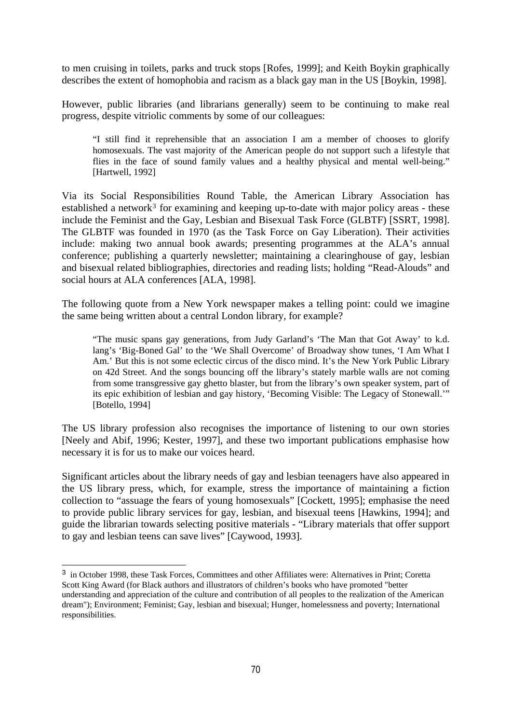to men cruising in toilets, parks and truck stops [Rofes, 1999]; and Keith Boykin graphically describes the extent of homophobia and racism as a black gay man in the US [Boykin, 1998].

However, public libraries (and librarians generally) seem to be continuing to make real progress, despite vitriolic comments by some of our colleagues:

"I still find it reprehensible that an association I am a member of chooses to glorify homosexuals. The vast majority of the American people do not support such a lifestyle that flies in the face of sound family values and a healthy physical and mental well-being." [Hartwell, 1992]

Via its Social Responsibilities Round Table, the American Library Association has established a network<sup>[3](#page-8-0)</sup> for examining and keeping up-to-date with major policy areas - these include the Feminist and the Gay, Lesbian and Bisexual Task Force (GLBTF) [SSRT, 1998]. The GLBTF was founded in 1970 (as the Task Force on Gay Liberation). Their activities include: making two annual book awards; presenting programmes at the ALA's annual conference; publishing a quarterly newsletter; maintaining a clearinghouse of gay, lesbian and bisexual related bibliographies, directories and reading lists; holding "Read-Alouds" and social hours at ALA conferences [ALA, 1998].

The following quote from a New York newspaper makes a telling point: could we imagine the same being written about a central London library, for example?

"The music spans gay generations, from Judy Garland's 'The Man that Got Away' to k.d. lang's 'Big-Boned Gal' to the 'We Shall Overcome' of Broadway show tunes, 'I Am What I Am.' But this is not some eclectic circus of the disco mind. It's the New York Public Library on 42d Street. And the songs bouncing off the library's stately marble walls are not coming from some transgressive gay ghetto blaster, but from the library's own speaker system, part of its epic exhibition of lesbian and gay history, 'Becoming Visible: The Legacy of Stonewall.'" [Botello, 1994]

The US library profession also recognises the importance of listening to our own stories [Neely and Abif, 1996; Kester, 1997], and these two important publications emphasise how necessary it is for us to make our voices heard.

Significant articles about the library needs of gay and lesbian teenagers have also appeared in the US library press, which, for example, stress the importance of maintaining a fiction collection to "assuage the fears of young homosexuals" [Cockett, 1995]; emphasise the need to provide public library services for gay, lesbian, and bisexual teens [Hawkins, 1994]; and guide the librarian towards selecting positive materials - "Library materials that offer support to gay and lesbian teens can save lives" [Caywood, 1993].

i

<span id="page-8-0"></span><sup>&</sup>lt;sup>3</sup> in October 1998, these Task Forces, Committees and other Affiliates were: Alternatives in Print; Coretta Scott King Award (for Black authors and illustrators of children's books who have promoted "better understanding and appreciation of the culture and contribution of all peoples to the realization of the American dream"); Environment; Feminist; Gay, lesbian and bisexual; Hunger, homelessness and poverty; International responsibilities.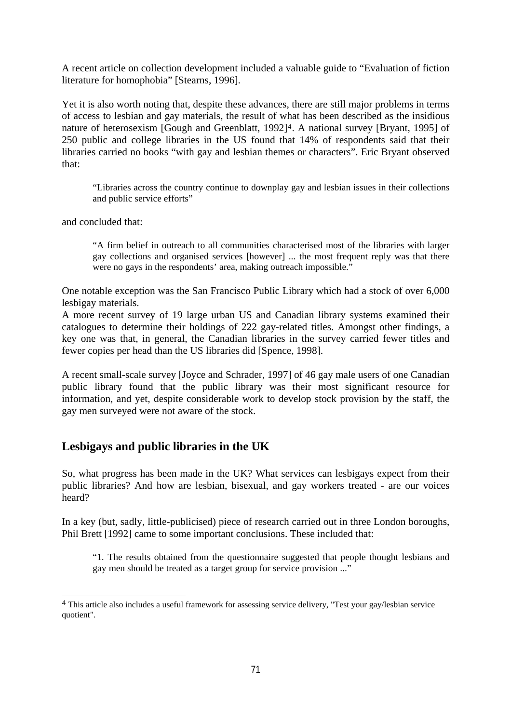A recent article on collection development included a valuable guide to "Evaluation of fiction literature for homophobia" [Stearns, 1996].

Yet it is also worth noting that, despite these advances, there are still major problems in terms of access to lesbian and gay materials, the result of what has been described as the insidious nature of heterosexism [Gough and Greenblatt, 1992]<sup>[4](#page-9-0)</sup>. A national survey [Bryant, 1995] of 250 public and college libraries in the US found that 14% of respondents said that their libraries carried no books "with gay and lesbian themes or characters". Eric Bryant observed that:

"Libraries across the country continue to downplay gay and lesbian issues in their collections and public service efforts"

and concluded that:

i

"A firm belief in outreach to all communities characterised most of the libraries with larger gay collections and organised services [however] ... the most frequent reply was that there were no gays in the respondents' area, making outreach impossible."

One notable exception was the San Francisco Public Library which had a stock of over 6,000 lesbigay materials.

A more recent survey of 19 large urban US and Canadian library systems examined their catalogues to determine their holdings of 222 gay-related titles. Amongst other findings, a key one was that, in general, the Canadian libraries in the survey carried fewer titles and fewer copies per head than the US libraries did [Spence, 1998].

A recent small-scale survey [Joyce and Schrader, 1997] of 46 gay male users of one Canadian public library found that the public library was their most significant resource for information, and yet, despite considerable work to develop stock provision by the staff, the gay men surveyed were not aware of the stock.

## **Lesbigays and public libraries in the UK**

So, what progress has been made in the UK? What services can lesbigays expect from their public libraries? And how are lesbian, bisexual, and gay workers treated - are our voices heard?

In a key (but, sadly, little-publicised) piece of research carried out in three London boroughs, Phil Brett [1992] came to some important conclusions. These included that:

"1. The results obtained from the questionnaire suggested that people thought lesbians and gay men should be treated as a target group for service provision ..."

<span id="page-9-0"></span><sup>4</sup> This article also includes a useful framework for assessing service delivery, "Test your gay/lesbian service quotient".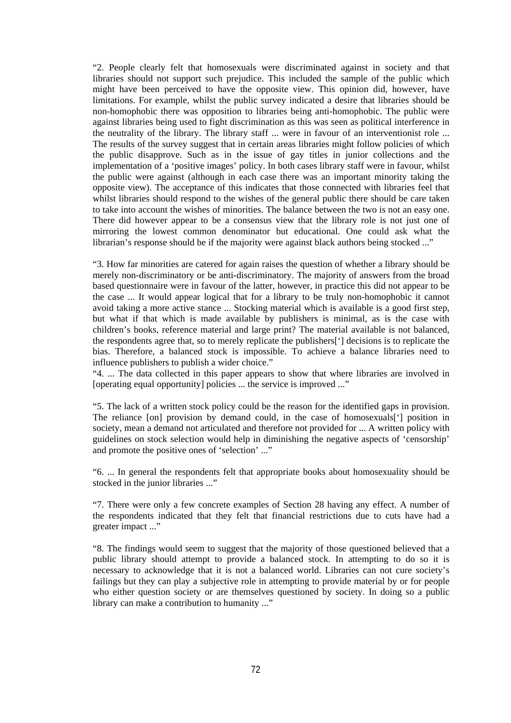"2. People clearly felt that homosexuals were discriminated against in society and that libraries should not support such prejudice. This included the sample of the public which might have been perceived to have the opposite view. This opinion did, however, have limitations. For example, whilst the public survey indicated a desire that libraries should be non-homophobic there was opposition to libraries being anti-homophobic. The public were against libraries being used to fight discrimination as this was seen as political interference in the neutrality of the library. The library staff ... were in favour of an interventionist role ... The results of the survey suggest that in certain areas libraries might follow policies of which the public disapprove. Such as in the issue of gay titles in junior collections and the implementation of a 'positive images' policy. In both cases library staff were in favour, whilst the public were against (although in each case there was an important minority taking the opposite view). The acceptance of this indicates that those connected with libraries feel that whilst libraries should respond to the wishes of the general public there should be care taken to take into account the wishes of minorities. The balance between the two is not an easy one. There did however appear to be a consensus view that the library role is not just one of mirroring the lowest common denominator but educational. One could ask what the librarian's response should be if the majority were against black authors being stocked ..."

"3. How far minorities are catered for again raises the question of whether a library should be merely non-discriminatory or be anti-discriminatory. The majority of answers from the broad based questionnaire were in favour of the latter, however, in practice this did not appear to be the case ... It would appear logical that for a library to be truly non-homophobic it cannot avoid taking a more active stance ... Stocking material which is available is a good first step, but what if that which is made available by publishers is minimal, as is the case with children's books, reference material and large print? The material available is not balanced, the respondents agree that, so to merely replicate the publishers['] decisions is to replicate the bias. Therefore, a balanced stock is impossible. To achieve a balance libraries need to influence publishers to publish a wider choice."

"4. ... The data collected in this paper appears to show that where libraries are involved in [operating equal opportunity] policies ... the service is improved ..."

"5. The lack of a written stock policy could be the reason for the identified gaps in provision. The reliance [on] provision by demand could, in the case of homosexuals['] position in society, mean a demand not articulated and therefore not provided for ... A written policy with guidelines on stock selection would help in diminishing the negative aspects of 'censorship' and promote the positive ones of 'selection' ..."

"6. ... In general the respondents felt that appropriate books about homosexuality should be stocked in the junior libraries ..."

"7. There were only a few concrete examples of Section 28 having any effect. A number of the respondents indicated that they felt that financial restrictions due to cuts have had a greater impact ..."

"8. The findings would seem to suggest that the majority of those questioned believed that a public library should attempt to provide a balanced stock. In attempting to do so it is necessary to acknowledge that it is not a balanced world. Libraries can not cure society's failings but they can play a subjective role in attempting to provide material by or for people who either question society or are themselves questioned by society. In doing so a public library can make a contribution to humanity ..."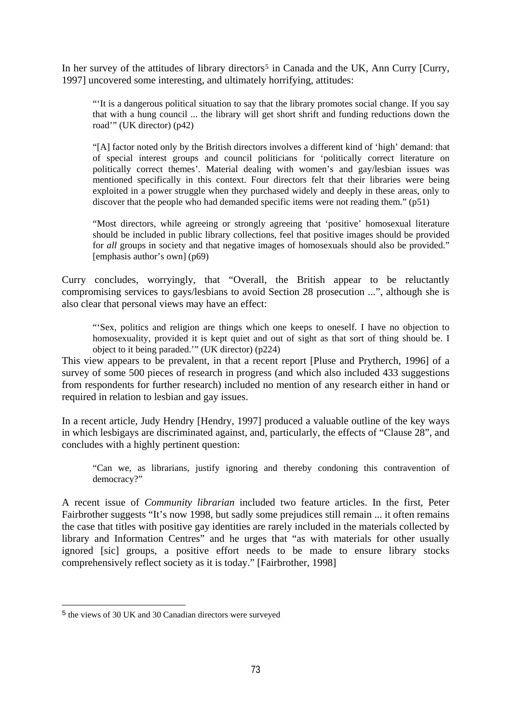In her survey of the attitudes of library directors<sup>[5](#page-11-0)</sup> in Canada and the UK, Ann Curry [Curry, 1997] uncovered some interesting, and ultimately horrifying, attitudes:

"'It is a dangerous political situation to say that the library promotes social change. If you say that with a hung council ... the library will get short shrift and funding reductions down the road'" (UK director) (p42)

"[A] factor noted only by the British directors involves a different kind of 'high' demand: that of special interest groups and council politicians for 'politically correct literature on politically correct themes'. Material dealing with women's and gay/lesbian issues was mentioned specifically in this context. Four directors felt that their libraries were being exploited in a power struggle when they purchased widely and deeply in these areas, only to discover that the people who had demanded specific items were not reading them." (p51)

"Most directors, while agreeing or strongly agreeing that 'positive' homosexual literature should be included in public library collections, feel that positive images should be provided for *all* groups in society and that negative images of homosexuals should also be provided." [emphasis author's own] (p69)

Curry concludes, worryingly, that "Overall, the British appear to be reluctantly compromising services to gays/lesbians to avoid Section 28 prosecution ...", although she is also clear that personal views may have an effect:

"'Sex, politics and religion are things which one keeps to oneself. I have no objection to homosexuality, provided it is kept quiet and out of sight as that sort of thing should be. I object to it being paraded.'" (UK director) (p224)

This view appears to be prevalent, in that a recent report [Pluse and Prytherch, 1996] of a survey of some 500 pieces of research in progress (and which also included 433 suggestions from respondents for further research) included no mention of any research either in hand or required in relation to lesbian and gay issues.

In a recent article, Judy Hendry [Hendry, 1997] produced a valuable outline of the key ways in which lesbigays are discriminated against, and, particularly, the effects of "Clause 28", and concludes with a highly pertinent question:

"Can we, as librarians, justify ignoring and thereby condoning this contravention of democracy?"

A recent issue of *Community librarian* included two feature articles. In the first, Peter Fairbrother suggests "It's now 1998, but sadly some prejudices still remain ... it often remains the case that titles with positive gay identities are rarely included in the materials collected by library and Information Centres" and he urges that "as with materials for other usually ignored [sic] groups, a positive effort needs to be made to ensure library stocks comprehensively reflect society as it is today." [Fairbrother, 1998]

i

<span id="page-11-0"></span><sup>5</sup> the views of 30 UK and 30 Canadian directors were surveyed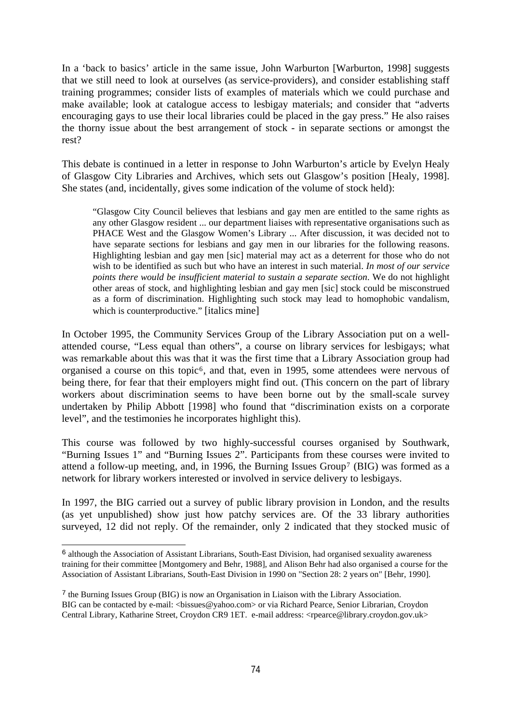In a 'back to basics' article in the same issue, John Warburton [Warburton, 1998] suggests that we still need to look at ourselves (as service-providers), and consider establishing staff training programmes; consider lists of examples of materials which we could purchase and make available; look at catalogue access to lesbigay materials; and consider that "adverts encouraging gays to use their local libraries could be placed in the gay press." He also raises the thorny issue about the best arrangement of stock - in separate sections or amongst the rest?

This debate is continued in a letter in response to John Warburton's article by Evelyn Healy of Glasgow City Libraries and Archives, which sets out Glasgow's position [Healy, 1998]. She states (and, incidentally, gives some indication of the volume of stock held):

"Glasgow City Council believes that lesbians and gay men are entitled to the same rights as any other Glasgow resident ... our department liaises with representative organisations such as PHACE West and the Glasgow Women's Library ... After discussion, it was decided not to have separate sections for lesbians and gay men in our libraries for the following reasons. Highlighting lesbian and gay men [sic] material may act as a deterrent for those who do not wish to be identified as such but who have an interest in such material. *In most of our service points there would be insufficient material to sustain a separate section*. We do not highlight other areas of stock, and highlighting lesbian and gay men [sic] stock could be misconstrued as a form of discrimination. Highlighting such stock may lead to homophobic vandalism, which is counterproductive." [italics mine]

In October 1995, the Community Services Group of the Library Association put on a wellattended course, "Less equal than others", a course on library services for lesbigays; what was remarkable about this was that it was the first time that a Library Association group had organised a course on this topic[6](#page-12-0), and that, even in 1995, some attendees were nervous of being there, for fear that their employers might find out. (This concern on the part of library workers about discrimination seems to have been borne out by the small-scale survey undertaken by Philip Abbott [1998] who found that "discrimination exists on a corporate level", and the testimonies he incorporates highlight this).

This course was followed by two highly-successful courses organised by Southwark, "Burning Issues 1" and "Burning Issues 2". Participants from these courses were invited to attend a follow-up meeting, and, in 1996, the Burning Issues Group<sup>[7](#page-12-1)</sup> (BIG) was formed as a network for library workers interested or involved in service delivery to lesbigays.

In 1997, the BIG carried out a survey of public library provision in London, and the results (as yet unpublished) show just how patchy services are. Of the 33 library authorities surveyed, 12 did not reply. Of the remainder, only 2 indicated that they stocked music of

i

<span id="page-12-0"></span><sup>6</sup> although the Association of Assistant Librarians, South-East Division, had organised sexuality awareness training for their committee [Montgomery and Behr, 1988], and Alison Behr had also organised a course for the Association of Assistant Librarians, South-East Division in 1990 on "Section 28: 2 years on" [Behr, 1990].

<span id="page-12-1"></span><sup>7</sup> the Burning Issues Group (BIG) is now an Organisation in Liaison with the Library Association. BIG can be contacted by e-mail: <br/> \left{bissues@yahoo.com> or via Richard Pearce, Senior Librarian, Croydon Central Library, Katharine Street, Croydon CR9 1ET. e-mail address: <rpearce@library.croydon.gov.uk>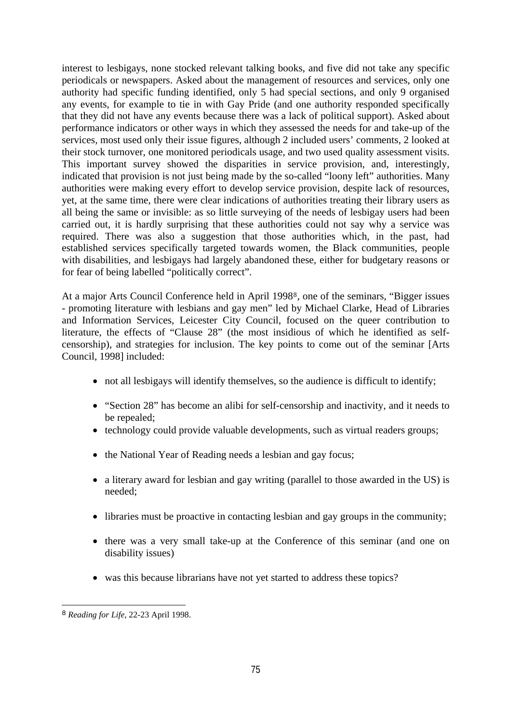interest to lesbigays, none stocked relevant talking books, and five did not take any specific periodicals or newspapers. Asked about the management of resources and services, only one authority had specific funding identified, only 5 had special sections, and only 9 organised any events, for example to tie in with Gay Pride (and one authority responded specifically that they did not have any events because there was a lack of political support). Asked about performance indicators or other ways in which they assessed the needs for and take-up of the services, most used only their issue figures, although 2 included users' comments, 2 looked at their stock turnover, one monitored periodicals usage, and two used quality assessment visits. This important survey showed the disparities in service provision, and, interestingly, indicated that provision is not just being made by the so-called "loony left" authorities. Many authorities were making every effort to develop service provision, despite lack of resources, yet, at the same time, there were clear indications of authorities treating their library users as all being the same or invisible: as so little surveying of the needs of lesbigay users had been carried out, it is hardly surprising that these authorities could not say why a service was required. There was also a suggestion that those authorities which, in the past, had established services specifically targeted towards women, the Black communities, people with disabilities, and lesbigays had largely abandoned these, either for budgetary reasons or for fear of being labelled "politically correct".

At a major Arts Council Conference held in April 199[8](#page-13-0)<sup>8</sup>, one of the seminars, "Bigger issues - promoting literature with lesbians and gay men" led by Michael Clarke, Head of Libraries and Information Services, Leicester City Council, focused on the queer contribution to literature, the effects of "Clause 28" (the most insidious of which he identified as selfcensorship), and strategies for inclusion. The key points to come out of the seminar [Arts Council, 1998] included:

- not all lesbigays will identify themselves, so the audience is difficult to identify;
- "Section 28" has become an alibi for self-censorship and inactivity, and it needs to be repealed;
- technology could provide valuable developments, such as virtual readers groups;
- the National Year of Reading needs a lesbian and gay focus;
- a literary award for lesbian and gay writing (parallel to those awarded in the US) is needed;
- libraries must be proactive in contacting lesbian and gay groups in the community;
- there was a very small take-up at the Conference of this seminar (and one on disability issues)
- was this because librarians have not yet started to address these topics?

<span id="page-13-0"></span>i 8 *Reading for Life*, 22-23 April 1998.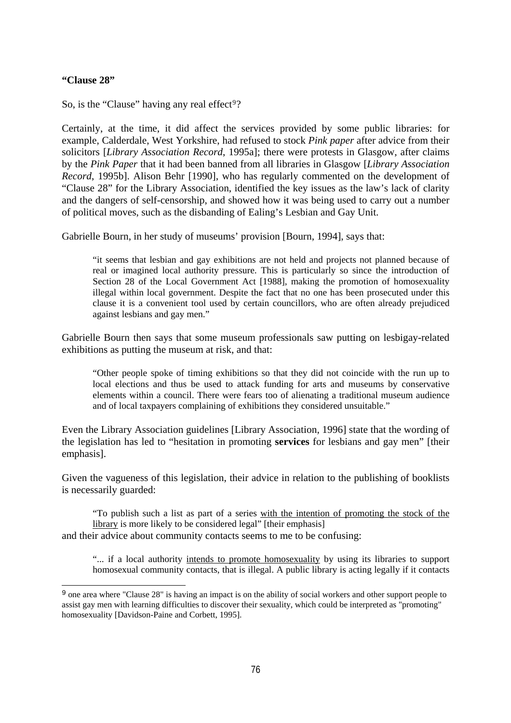### **"Clause 28"**

i

So, is the "Clause" having any real effect<sup>[9](#page-14-0)</sup>?

Certainly, at the time, it did affect the services provided by some public libraries: for example, Calderdale, West Yorkshire, had refused to stock *Pink paper* after advice from their solicitors [*Library Association Record*, 1995a]; there were protests in Glasgow, after claims by the *Pink Paper* that it had been banned from all libraries in Glasgow [*Library Association Record*, 1995b]. Alison Behr [1990], who has regularly commented on the development of "Clause 28" for the Library Association, identified the key issues as the law's lack of clarity and the dangers of self-censorship, and showed how it was being used to carry out a number of political moves, such as the disbanding of Ealing's Lesbian and Gay Unit.

Gabrielle Bourn, in her study of museums' provision [Bourn, 1994], says that:

"it seems that lesbian and gay exhibitions are not held and projects not planned because of real or imagined local authority pressure. This is particularly so since the introduction of Section 28 of the Local Government Act [1988], making the promotion of homosexuality illegal within local government. Despite the fact that no one has been prosecuted under this clause it is a convenient tool used by certain councillors, who are often already prejudiced against lesbians and gay men."

Gabrielle Bourn then says that some museum professionals saw putting on lesbigay-related exhibitions as putting the museum at risk, and that:

"Other people spoke of timing exhibitions so that they did not coincide with the run up to local elections and thus be used to attack funding for arts and museums by conservative elements within a council. There were fears too of alienating a traditional museum audience and of local taxpayers complaining of exhibitions they considered unsuitable."

Even the Library Association guidelines [Library Association, 1996] state that the wording of the legislation has led to "hesitation in promoting **services** for lesbians and gay men" [their emphasis].

Given the vagueness of this legislation, their advice in relation to the publishing of booklists is necessarily guarded:

"To publish such a list as part of a series with the intention of promoting the stock of the library is more likely to be considered legal" [their emphasis]

and their advice about community contacts seems to me to be confusing:

"... if a local authority intends to promote homosexuality by using its libraries to support homosexual community contacts, that is illegal. A public library is acting legally if it contacts

<span id="page-14-0"></span><sup>&</sup>lt;sup>9</sup> one area where "Clause 28" is having an impact is on the ability of social workers and other support people to assist gay men with learning difficulties to discover their sexuality, which could be interpreted as "promoting" homosexuality [Davidson-Paine and Corbett, 1995].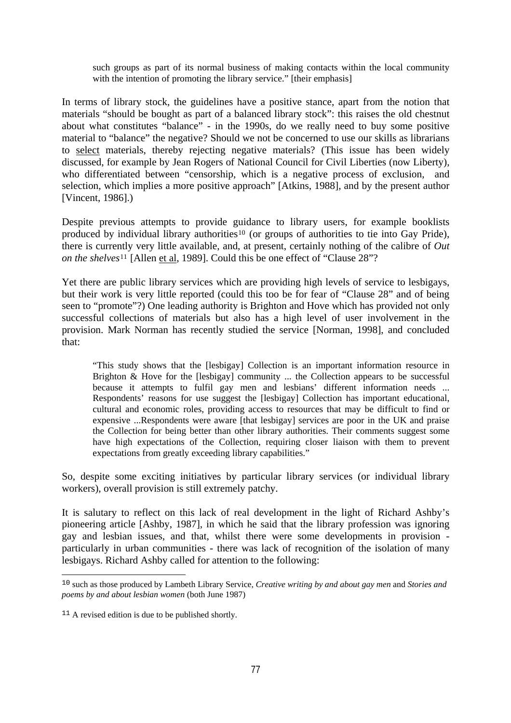such groups as part of its normal business of making contacts within the local community with the intention of promoting the library service." [their emphasis]

In terms of library stock, the guidelines have a positive stance, apart from the notion that materials "should be bought as part of a balanced library stock": this raises the old chestnut about what constitutes "balance" - in the 1990s, do we really need to buy some positive material to "balance" the negative? Should we not be concerned to use our skills as librarians to select materials, thereby rejecting negative materials? (This issue has been widely discussed, for example by Jean Rogers of National Council for Civil Liberties (now Liberty), who differentiated between "censorship, which is a negative process of exclusion, and selection, which implies a more positive approach" [Atkins, 1988], and by the present author [Vincent, 1986].)

Despite previous attempts to provide guidance to library users, for example booklists produced by individual library authorities<sup>[10](#page-15-0)</sup> (or groups of authorities to tie into Gay Pride), there is currently very little available, and, at present, certainly nothing of the calibre of *Out on the shelves*[11](#page-15-1) [Allen et al, 1989]. Could this be one effect of "Clause 28"?

Yet there are public library services which are providing high levels of service to lesbigays, but their work is very little reported (could this too be for fear of "Clause 28" and of being seen to "promote"?) One leading authority is Brighton and Hove which has provided not only successful collections of materials but also has a high level of user involvement in the provision. Mark Norman has recently studied the service [Norman, 1998], and concluded that:

"This study shows that the [lesbigay] Collection is an important information resource in Brighton & Hove for the [lesbigay] community ... the Collection appears to be successful because it attempts to fulfil gay men and lesbians' different information needs ... Respondents' reasons for use suggest the [lesbigay] Collection has important educational, cultural and economic roles, providing access to resources that may be difficult to find or expensive ...Respondents were aware [that lesbigay] services are poor in the UK and praise the Collection for being better than other library authorities. Their comments suggest some have high expectations of the Collection, requiring closer liaison with them to prevent expectations from greatly exceeding library capabilities."

So, despite some exciting initiatives by particular library services (or individual library workers), overall provision is still extremely patchy.

It is salutary to reflect on this lack of real development in the light of Richard Ashby's pioneering article [Ashby, 1987], in which he said that the library profession was ignoring gay and lesbian issues, and that, whilst there were some developments in provision particularly in urban communities - there was lack of recognition of the isolation of many lesbigays. Richard Ashby called for attention to the following:

i

<span id="page-15-0"></span><sup>10</sup> such as those produced by Lambeth Library Service, *Creative writing by and about gay men* and *Stories and poems by and about lesbian women* (both June 1987)

<span id="page-15-1"></span> $11$  A revised edition is due to be published shortly.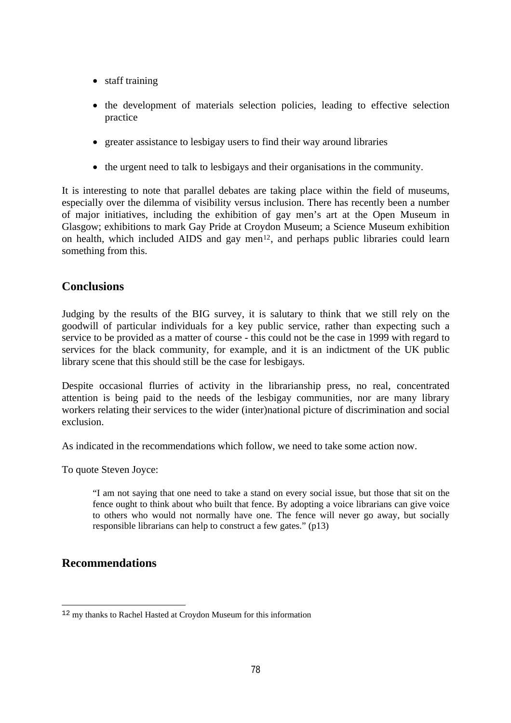- staff training
- the development of materials selection policies, leading to effective selection practice
- greater assistance to lesbigay users to find their way around libraries
- the urgent need to talk to lesbigays and their organisations in the community.

It is interesting to note that parallel debates are taking place within the field of museums, especially over the dilemma of visibility versus inclusion. There has recently been a number of major initiatives, including the exhibition of gay men's art at the Open Museum in Glasgow; exhibitions to mark Gay Pride at Croydon Museum; a Science Museum exhibition on health, which included AIDS and gay men<sup>[12](#page-16-0)</sup>, and perhaps public libraries could learn something from this.

# **Conclusions**

Judging by the results of the BIG survey, it is salutary to think that we still rely on the goodwill of particular individuals for a key public service, rather than expecting such a service to be provided as a matter of course - this could not be the case in 1999 with regard to services for the black community, for example, and it is an indictment of the UK public library scene that this should still be the case for lesbigays.

Despite occasional flurries of activity in the librarianship press, no real, concentrated attention is being paid to the needs of the lesbigay communities, nor are many library workers relating their services to the wider (inter)national picture of discrimination and social exclusion.

As indicated in the recommendations which follow, we need to take some action now.

To quote Steven Joyce:

"I am not saying that one need to take a stand on every social issue, but those that sit on the fence ought to think about who built that fence. By adopting a voice librarians can give voice to others who would not normally have one. The fence will never go away, but socially responsible librarians can help to construct a few gates." (p13)

# **Recommendations**

<span id="page-16-0"></span>i <sup>12</sup> my thanks to Rachel Hasted at Croydon Museum for this information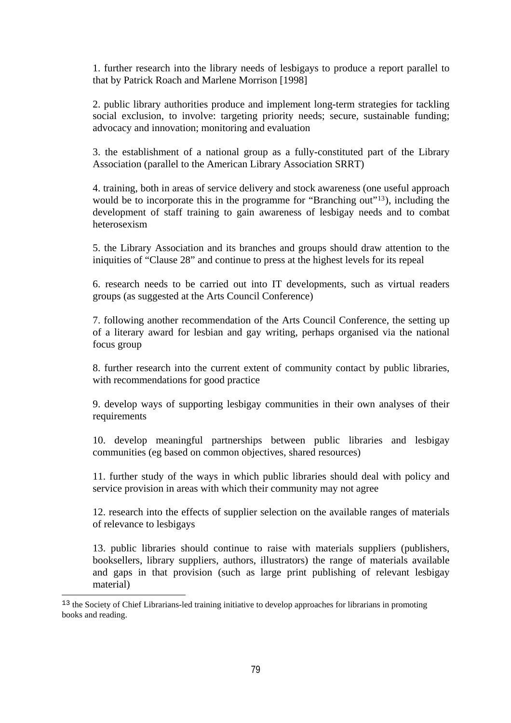1. further research into the library needs of lesbigays to produce a report parallel to that by Patrick Roach and Marlene Morrison [1998]

2. public library authorities produce and implement long-term strategies for tackling social exclusion, to involve: targeting priority needs; secure, sustainable funding; advocacy and innovation; monitoring and evaluation

3. the establishment of a national group as a fully-constituted part of the Library Association (parallel to the American Library Association SRRT)

4. training, both in areas of service delivery and stock awareness (one useful approach would be to incorporate this in the programme for "Branching out"<sup>[13](#page-17-0)</sup>), including the development of staff training to gain awareness of lesbigay needs and to combat heterosexism

5. the Library Association and its branches and groups should draw attention to the iniquities of "Clause 28" and continue to press at the highest levels for its repeal

6. research needs to be carried out into IT developments, such as virtual readers groups (as suggested at the Arts Council Conference)

7. following another recommendation of the Arts Council Conference, the setting up of a literary award for lesbian and gay writing, perhaps organised via the national focus group

8. further research into the current extent of community contact by public libraries, with recommendations for good practice

9. develop ways of supporting lesbigay communities in their own analyses of their requirements

10. develop meaningful partnerships between public libraries and lesbigay communities (eg based on common objectives, shared resources)

11. further study of the ways in which public libraries should deal with policy and service provision in areas with which their community may not agree

12. research into the effects of supplier selection on the available ranges of materials of relevance to lesbigays

13. public libraries should continue to raise with materials suppliers (publishers, booksellers, library suppliers, authors, illustrators) the range of materials available and gaps in that provision (such as large print publishing of relevant lesbigay material)

<span id="page-17-0"></span><sup>&</sup>lt;sup>13</sup> the Society of Chief Librarians-led training initiative to develop approaches for librarians in promoting books and reading.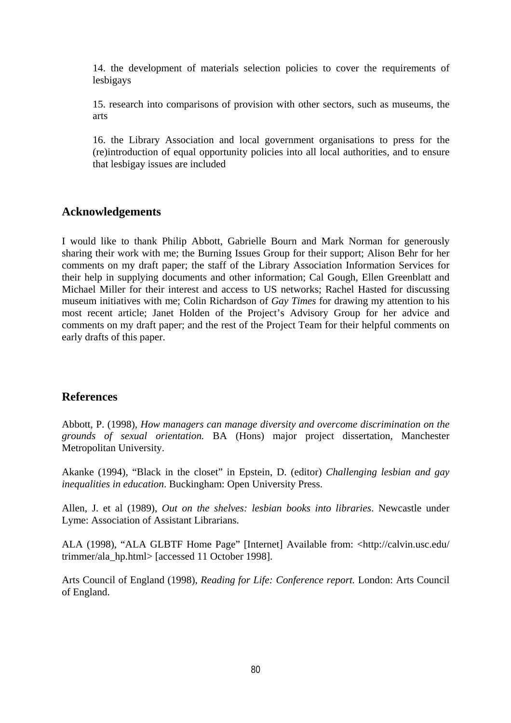14. the development of materials selection policies to cover the requirements of lesbigays

15. research into comparisons of provision with other sectors, such as museums, the arts

16. the Library Association and local government organisations to press for the (re)introduction of equal opportunity policies into all local authorities, and to ensure that lesbigay issues are included

### **Acknowledgements**

I would like to thank Philip Abbott, Gabrielle Bourn and Mark Norman for generously sharing their work with me; the Burning Issues Group for their support; Alison Behr for her comments on my draft paper; the staff of the Library Association Information Services for their help in supplying documents and other information; Cal Gough, Ellen Greenblatt and Michael Miller for their interest and access to US networks; Rachel Hasted for discussing museum initiatives with me; Colin Richardson of *Gay Times* for drawing my attention to his most recent article; Janet Holden of the Project's Advisory Group for her advice and comments on my draft paper; and the rest of the Project Team for their helpful comments on early drafts of this paper.

### **References**

Abbott, P. (1998), *How managers can manage diversity and overcome discrimination on the grounds of sexual orientation.* BA (Hons) major project dissertation, Manchester Metropolitan University.

Akanke (1994), "Black in the closet" in Epstein, D. (editor) *Challenging lesbian and gay inequalities in education*. Buckingham: Open University Press.

Allen, J. et al (1989), *Out on the shelves: lesbian books into libraries*. Newcastle under Lyme: Association of Assistant Librarians.

ALA (1998), "ALA GLBTF Home Page" [Internet] Available from: <http://calvin.usc.edu/ trimmer/ala\_hp.html> [accessed 11 October 1998].

Arts Council of England (1998), *Reading for Life: Conference report.* London: Arts Council of England.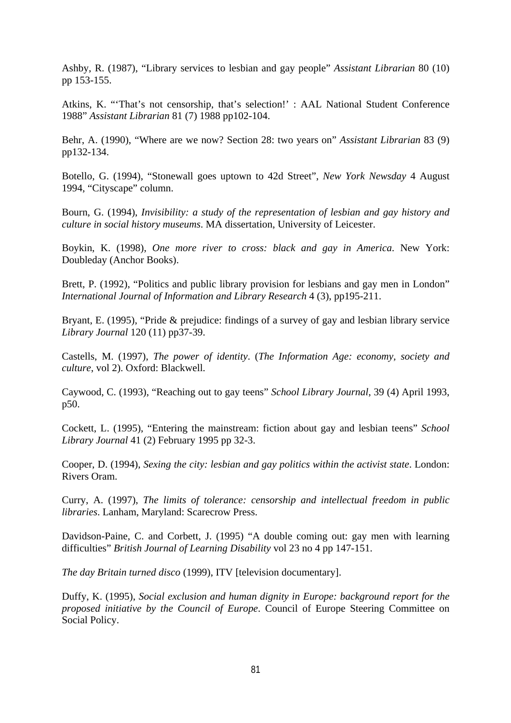Ashby, R. (1987), "Library services to lesbian and gay people" *Assistant Librarian* 80 (10) pp 153-155.

Atkins, K. "'That's not censorship, that's selection!' : AAL National Student Conference 1988" *Assistant Librarian* 81 (7) 1988 pp102-104.

Behr, A. (1990), "Where are we now? Section 28: two years on" *Assistant Librarian* 83 (9) pp132-134.

Botello, G. (1994), "Stonewall goes uptown to 42d Street", *New York Newsday* 4 August 1994, "Cityscape" column.

Bourn, G. (1994), *Invisibility: a study of the representation of lesbian and gay history and culture in social history museums*. MA dissertation, University of Leicester.

Boykin, K. (1998), *One more river to cross: black and gay in America*. New York: Doubleday (Anchor Books).

Brett, P. (1992), "Politics and public library provision for lesbians and gay men in London" *International Journal of Information and Library Research* 4 (3), pp195-211.

Bryant, E. (1995), "Pride & prejudice: findings of a survey of gay and lesbian library service *Library Journal* 120 (11) pp37-39.

Castells, M. (1997), *The power of identity*. (*The Information Age: economy, society and culture*, vol 2). Oxford: Blackwell.

Caywood, C. (1993), "Reaching out to gay teens" *School Library Journal*, 39 (4) April 1993, p50.

Cockett, L. (1995), "Entering the mainstream: fiction about gay and lesbian teens" *School Library Journal* 41 (2) February 1995 pp 32-3.

Cooper, D. (1994), *Sexing the city: lesbian and gay politics within the activist state*. London: Rivers Oram.

Curry, A. (1997), *The limits of tolerance: censorship and intellectual freedom in public libraries*. Lanham, Maryland: Scarecrow Press.

Davidson-Paine, C. and Corbett, J. (1995) "A double coming out: gay men with learning difficulties" *British Journal of Learning Disability* vol 23 no 4 pp 147-151.

*The day Britain turned disco* (1999), ITV [television documentary].

Duffy, K. (1995), *Social exclusion and human dignity in Europe: background report for the proposed initiative by the Council of Europe*. Council of Europe Steering Committee on Social Policy.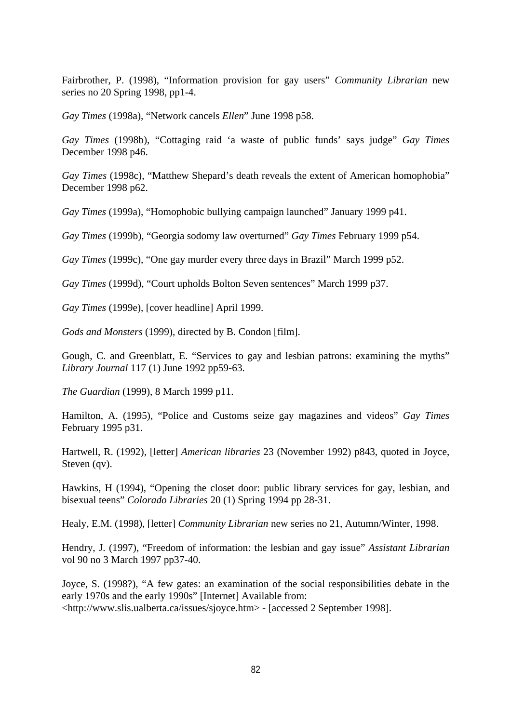Fairbrother, P. (1998), "Information provision for gay users" *Community Librarian* new series no 20 Spring 1998, pp1-4.

*Gay Times* (1998a), "Network cancels *Ellen*" June 1998 p58.

*Gay Times* (1998b), "Cottaging raid 'a waste of public funds' says judge" *Gay Times* December 1998 p46.

*Gay Times* (1998c), "Matthew Shepard's death reveals the extent of American homophobia" December 1998 p62.

*Gay Times* (1999a), "Homophobic bullying campaign launched" January 1999 p41.

*Gay Times* (1999b), "Georgia sodomy law overturned" *Gay Times* February 1999 p54.

*Gay Times* (1999c), "One gay murder every three days in Brazil" March 1999 p52.

*Gay Times* (1999d), "Court upholds Bolton Seven sentences" March 1999 p37.

*Gay Times* (1999e), [cover headline] April 1999.

*Gods and Monsters* (1999), directed by B. Condon [film].

Gough, C. and Greenblatt, E. "Services to gay and lesbian patrons: examining the myths" *Library Journal* 117 (1) June 1992 pp59-63.

*The Guardian* (1999), 8 March 1999 p11.

Hamilton, A. (1995), "Police and Customs seize gay magazines and videos" *Gay Times* February 1995 p31.

Hartwell, R. (1992), [letter] *American libraries* 23 (November 1992) p843, quoted in Joyce, Steven (qv).

Hawkins, H (1994), "Opening the closet door: public library services for gay, lesbian, and bisexual teens" *Colorado Libraries* 20 (1) Spring 1994 pp 28-31.

Healy, E.M. (1998), [letter] *Community Librarian* new series no 21, Autumn/Winter, 1998.

Hendry, J. (1997), "Freedom of information: the lesbian and gay issue" *Assistant Librarian* vol 90 no 3 March 1997 pp37-40.

Joyce, S. (1998?), "A few gates: an examination of the social responsibilities debate in the early 1970s and the early 1990s" [Internet] Available from: <http://www.slis.ualberta.ca/issues/sjoyce.htm> - [accessed 2 September 1998].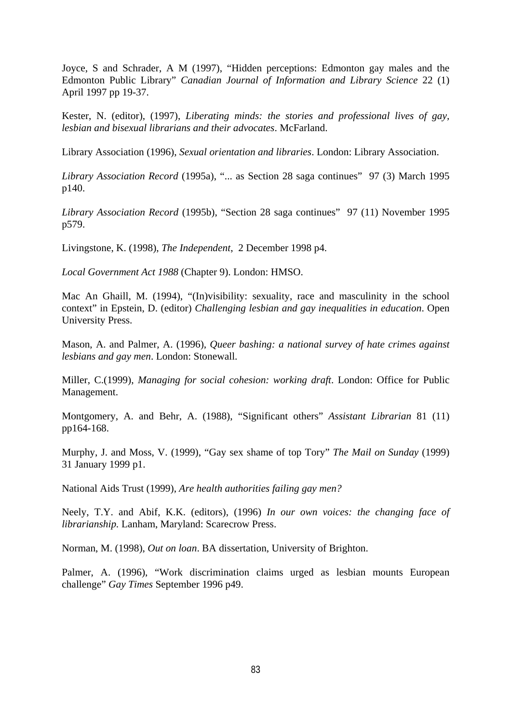Joyce, S and Schrader, A M (1997), "Hidden perceptions: Edmonton gay males and the Edmonton Public Library" *Canadian Journal of Information and Library Science* 22 (1) April 1997 pp 19-37.

Kester, N. (editor), (1997), *Liberating minds: the stories and professional lives of gay, lesbian and bisexual librarians and their advocates*. McFarland.

Library Association (1996), *Sexual orientation and libraries*. London: Library Association.

*Library Association Record* (1995a), "... as Section 28 saga continues" 97 (3) March 1995 p140.

*Library Association Record* (1995b), "Section 28 saga continues" 97 (11) November 1995 p579.

Livingstone, K. (1998), *The Independent*, 2 December 1998 p4.

*Local Government Act 1988* (Chapter 9). London: HMSO.

Mac An Ghaill, M. (1994), "(In)visibility: sexuality, race and masculinity in the school context" in Epstein, D. (editor) *Challenging lesbian and gay inequalities in education*. Open University Press.

Mason, A. and Palmer, A. (1996), *Queer bashing: a national survey of hate crimes against lesbians and gay men*. London: Stonewall.

Miller, C.(1999), *Managing for social cohesion: working draft*. London: Office for Public Management.

Montgomery, A. and Behr, A. (1988), "Significant others" *Assistant Librarian* 81 (11) pp164-168.

Murphy, J. and Moss, V. (1999), "Gay sex shame of top Tory" *The Mail on Sunday* (1999) 31 January 1999 p1.

National Aids Trust (1999), *Are health authorities failing gay men?*

Neely, T.Y. and Abif, K.K. (editors), (1996) *In our own voices: the changing face of librarianship.* Lanham, Maryland: Scarecrow Press.

Norman, M. (1998), *Out on loan*. BA dissertation, University of Brighton.

Palmer, A. (1996), "Work discrimination claims urged as lesbian mounts European challenge" *Gay Times* September 1996 p49.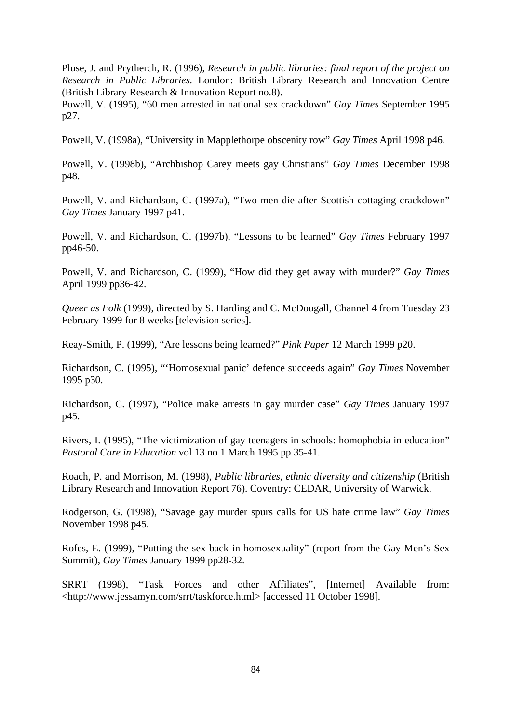Pluse, J. and Prytherch, R. (1996), *Research in public libraries: final report of the project on Research in Public Libraries.* London: British Library Research and Innovation Centre (British Library Research & Innovation Report no.8).

Powell, V. (1995), "60 men arrested in national sex crackdown" *Gay Times* September 1995 p27.

Powell, V. (1998a), "University in Mapplethorpe obscenity row" *Gay Times* April 1998 p46.

Powell, V. (1998b), "Archbishop Carey meets gay Christians" *Gay Times* December 1998 p48.

Powell, V. and Richardson, C. (1997a), "Two men die after Scottish cottaging crackdown" *Gay Times* January 1997 p41.

Powell, V. and Richardson, C. (1997b), "Lessons to be learned" *Gay Times* February 1997 pp46-50.

Powell, V. and Richardson, C. (1999), "How did they get away with murder?" *Gay Times* April 1999 pp36-42.

*Queer as Folk* (1999), directed by S. Harding and C. McDougall, Channel 4 from Tuesday 23 February 1999 for 8 weeks [television series].

Reay-Smith, P. (1999), "Are lessons being learned?" *Pink Paper* 12 March 1999 p20.

Richardson, C. (1995), "'Homosexual panic' defence succeeds again" *Gay Times* November 1995 p30.

Richardson, C. (1997), "Police make arrests in gay murder case" *Gay Times* January 1997 p45.

Rivers, I. (1995), "The victimization of gay teenagers in schools: homophobia in education" *Pastoral Care in Education* vol 13 no 1 March 1995 pp 35-41.

Roach, P. and Morrison*,* M. (1998)*, Public libraries, ethnic diversity and citizenship* (British Library Research and Innovation Report 76). Coventry: CEDAR, University of Warwick.

Rodgerson, G. (1998), "Savage gay murder spurs calls for US hate crime law" *Gay Times* November 1998 p45.

Rofes, E. (1999), "Putting the sex back in homosexuality" (report from the Gay Men's Sex Summit), *Gay Times* January 1999 pp28-32.

SRRT (1998), "Task Forces and other Affiliates", [Internet] Available from: <http://www.jessamyn.com/srrt/taskforce.html> [accessed 11 October 1998].